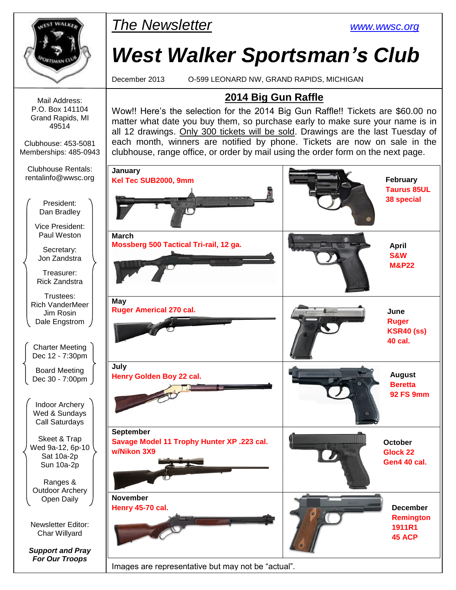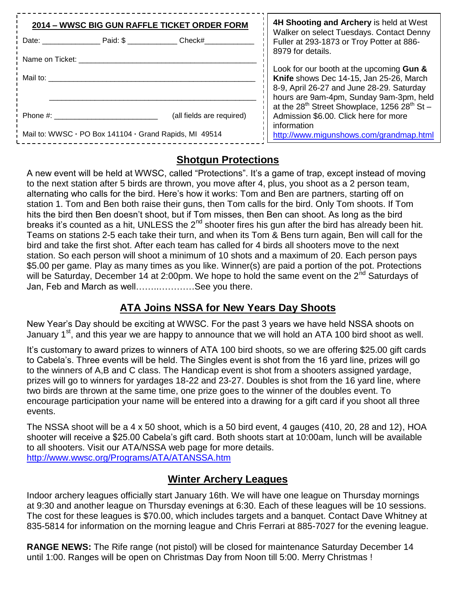| 2014 - WWSC BIG GUN RAFFLE TICKET ORDER FORM           | 4H Shooting and Archery is held at West |                                                                                                                                                                             |  |  |
|--------------------------------------------------------|-----------------------------------------|-----------------------------------------------------------------------------------------------------------------------------------------------------------------------------|--|--|
| Date: Paid: \$                                         | Check#                                  | Walker on select Tuesdays. Contact Denny<br>Fuller at 293-1873 or Troy Potter at 886-                                                                                       |  |  |
| Name on Ticket:                                        |                                         | 8979 for details.                                                                                                                                                           |  |  |
| Mail to:                                               |                                         | Look for our booth at the upcoming Gun &<br>Knife shows Dec 14-15, Jan 25-26, March<br>8-9, April 26-27 and June 28-29. Saturday<br>hours are 9am-4pm, Sunday 9am-3pm, held |  |  |
| Phone #:                                               | (all fields are required)               | at the 28 <sup>th</sup> Street Showplace, 1256 28 <sup>th</sup> St -<br>Admission \$6.00. Click here for more<br>information                                                |  |  |
| Mail to: WWSC - PO Box 141104 - Grand Rapids, MI 49514 | http://www.migunshows.com/grandmap.html |                                                                                                                                                                             |  |  |

### **Shotgun Protections**

A new event will be held at WWSC, called "Protections". It's a game of trap, except instead of moving to the next station after 5 birds are thrown, you move after 4, plus, you shoot as a 2 person team, alternating who calls for the bird. Here's how it works: Tom and Ben are partners, starting off on station 1. Tom and Ben both raise their guns, then Tom calls for the bird. Only Tom shoots. If Tom hits the bird then Ben doesn't shoot, but if Tom misses, then Ben can shoot. As long as the bird breaks it's counted as a hit, UNLESS the  $2^{nd}$  shooter fires his gun after the bird has already been hit. Teams on stations 2-5 each take their turn, and when its Tom & Bens turn again, Ben will call for the bird and take the first shot. After each team has called for 4 birds all shooters move to the next station. So each person will shoot a minimum of 10 shots and a maximum of 20. Each person pays \$5.00 per game. Play as many times as you like. Winner(s) are paid a portion of the pot. Protections will be Saturday, December 14 at 2:00pm. We hope to hold the same event on the 2<sup>nd</sup> Saturdays of Jan, Feb and March as well……..…………See you there.

### **ATA Joins NSSA for New Years Day Shoots**

New Year's Day should be exciting at WWSC. For the past 3 years we have held NSSA shoots on January 1<sup>st</sup>, and this year we are happy to announce that we will hold an ATA 100 bird shoot as well.

It's customary to award prizes to winners of ATA 100 bird shoots, so we are offering \$25.00 gift cards to Cabela's. Three events will be held. The Singles event is shot from the 16 yard line, prizes will go to the winners of A,B and C class. The Handicap event is shot from a shooters assigned yardage, prizes will go to winners for yardages 18-22 and 23-27. Doubles is shot from the 16 yard line, where two birds are thrown at the same time, one prize goes to the winner of the doubles event. To encourage participation your name will be entered into a drawing for a gift card if you shoot all three events.

The NSSA shoot will be a 4 x 50 shoot, which is a 50 bird event, 4 gauges (410, 20, 28 and 12), HOA shooter will receive a \$25.00 Cabela's gift card. Both shoots start at 10:00am, lunch will be available to all shooters. Visit our ATA/NSSA web page for more details. <http://www.wwsc.org/Programs/ATA/ATANSSA.htm>

### **Winter Archery Leagues**

Indoor archery leagues officially start January 16th. We will have one league on Thursday mornings at 9:30 and another league on Thursday evenings at 6:30. Each of these leagues will be 10 sessions. The cost for these leagues is \$70.00, which includes targets and a banquet. Contact Dave Whitney at 835-5814 for information on the morning league and Chris Ferrari at 885-7027 for the evening league.

**RANGE NEWS:** The Rife range (not pistol) will be closed for maintenance Saturday December 14 until 1:00. Ranges will be open on Christmas Day from Noon till 5:00. Merry Christmas !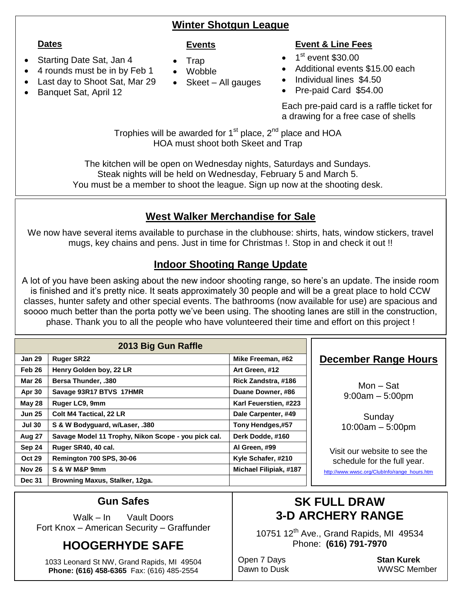### **Winter Shotgun League**

#### **Dates**

- Starting Date Sat, Jan 4
- 4 rounds must be in by Feb 1
- Last day to Shoot Sat, Mar 29
- Banquet Sat, April 12

#### **Events**

- Trap
- Wobble
- Skeet All gauges

### **Event & Line Fees**

- $\bullet$  1<sup>st</sup> event \$30.00
- Additional events \$15.00 each
- Individual lines \$4.50
- Pre-paid Card \$54.00

Each pre-paid card is a raffle ticket for a drawing for a free case of shells

Trophies will be awarded for  $1<sup>st</sup>$  place,  $2<sup>nd</sup>$  place and HOA HOA must shoot both Skeet and Trap

The kitchen will be open on Wednesday nights, Saturdays and Sundays. Steak nights will be held on Wednesday, February 5 and March 5. You must be a member to shoot the league. Sign up now at the shooting desk.

## **West Walker Merchandise for Sale**

We now have several items available to purchase in the clubhouse: shirts, hats, window stickers, travel mugs, key chains and pens. Just in time for Christmas !. Stop in and check it out !!

### **Indoor Shooting Range Update**

A lot of you have been asking about the new indoor shooting range, so here's an update. The inside room is finished and it's pretty nice. It seats approximately 30 people and will be a great place to hold CCW classes, hunter safety and other special events. The bathrooms (now available for use) are spacious and soooo much better than the porta potty we've been using. The shooting lanes are still in the construction, phase. Thank you to all the people who have volunteered their time and effort on this project !

| 2013 Big Gun Raffle |                                                     |                               |  |  |  |
|---------------------|-----------------------------------------------------|-------------------------------|--|--|--|
| <b>Jan 29</b>       | <b>Ruger SR22</b>                                   | Mike Freeman, #62             |  |  |  |
| Feb 26              | Henry Golden boy, 22 LR                             | Art Green, #12                |  |  |  |
| <b>Mar 26</b>       | <b>Bersa Thunder, .380</b>                          | Rick Zandstra, #186           |  |  |  |
| Apr 30              | Savage 93R17 BTVS 17HMR                             | Duane Downer, #86             |  |  |  |
| <b>May 28</b>       | Ruger LC9, 9mm                                      | Karl Feuerstien, #223         |  |  |  |
| <b>Jun 25</b>       | <b>Colt M4 Tactical, 22 LR</b>                      | Dale Carpenter, #49           |  |  |  |
| <b>Jul 30</b>       | S & W Bodyguard, w/Laser, .380                      | Tony Hendges,#57              |  |  |  |
| Aug 27              | Savage Model 11 Trophy, Nikon Scope - you pick cal. | Derk Dodde, #160              |  |  |  |
| Sep 24              | Ruger SR40, 40 cal.                                 | Al Green, #99                 |  |  |  |
| <b>Oct 29</b>       | <b>Remington 700 SPS, 30-06</b>                     | Kyle Schafer, #210            |  |  |  |
| <b>Nov 26</b>       | S & W M&P 9mm                                       | <b>Michael Filipiak, #187</b> |  |  |  |
| <b>Dec 31</b>       | Browning Maxus, Stalker, 12ga.                      |                               |  |  |  |

### **December Range Hours**

Mon – Sat 9:00am – 5:00pm

**Sunday** 10:00am – 5:00pm

Visit our website to see the schedule for the full year.

[http://www.wwsc.org/ClubInfo/range\\_hours.htm](http://www.wwsc.org/ClubInfo/range_hours.htm)

### **Gun Safes**

Walk – In Vault Doors Fort Knox – American Security – Graffunder

# **HOOGERHYDE SAFE**

1033 Leonard St NW, Grand Rapids, MI 49504 **Phone: (616) 458-6365** Fax: (616) 485-2554

# **SK FULL DRAW 3-D ARCHERY RANGE**

10751 12<sup>th</sup> Ave., Grand Rapids, MI 49534 Phone: **(616) 791-7970**

Open 7 Days **Stan Kurek**

Dawn to Dusk WWSC Member